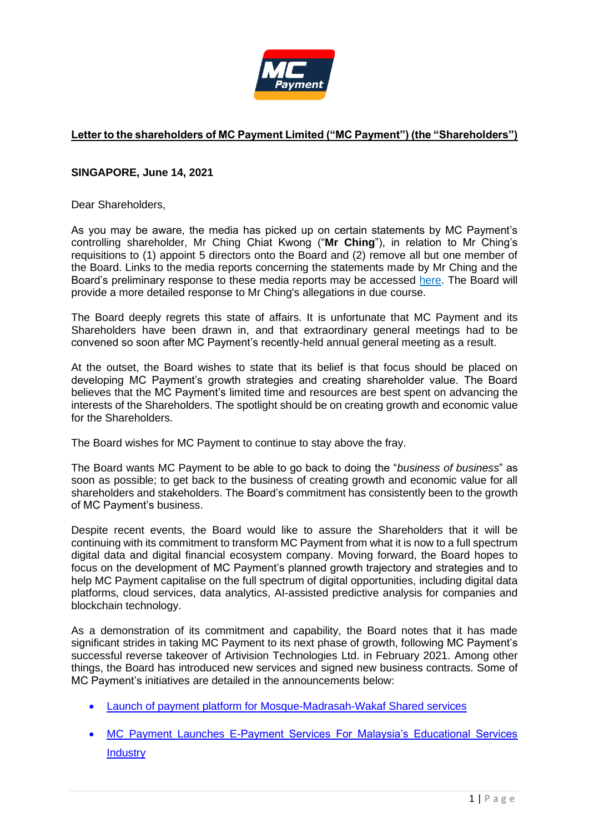

# **Letter to the shareholders of MC Payment Limited ("MC Payment") (the "Shareholders")**

# **SINGAPORE, June 14, 2021**

Dear Shareholders,

As you may be aware, the media has picked up on certain statements by MC Payment's controlling shareholder, Mr Ching Chiat Kwong ("**Mr Ching**"), in relation to Mr Ching's requisitions to (1) appoint 5 directors onto the Board and (2) remove all but one member of the Board. Links to the media reports concerning the statements made by Mr Ching and the Board's preliminary response to these media reports may be accessed [here.](https://links.sgx.com/FileOpen/MCP%20-%20Response%20to%20media%20reports.ashx?App=Announcement&FileID=671023) The Board will provide a more detailed response to Mr Ching's allegations in due course.

The Board deeply regrets this state of affairs. It is unfortunate that MC Payment and its Shareholders have been drawn in, and that extraordinary general meetings had to be convened so soon after MC Payment's recently-held annual general meeting as a result.

At the outset, the Board wishes to state that its belief is that focus should be placed on developing MC Payment's growth strategies and creating shareholder value. The Board believes that the MC Payment's limited time and resources are best spent on advancing the interests of the Shareholders. The spotlight should be on creating growth and economic value for the Shareholders.

The Board wishes for MC Payment to continue to stay above the fray.

The Board wants MC Payment to be able to go back to doing the "*business of business*" as soon as possible; to get back to the business of creating growth and economic value for all shareholders and stakeholders. The Board's commitment has consistently been to the growth of MC Payment's business.

Despite recent events, the Board would like to assure the Shareholders that it will be continuing with its commitment to transform MC Payment from what it is now to a full spectrum digital data and digital financial ecosystem company. Moving forward, the Board hopes to focus on the development of MC Payment's planned growth trajectory and strategies and to help MC Payment capitalise on the full spectrum of digital opportunities, including digital data platforms, cloud services, data analytics, AI-assisted predictive analysis for companies and blockchain technology.

As a demonstration of its commitment and capability, the Board notes that it has made significant strides in taking MC Payment to its next phase of growth, following MC Payment's successful reverse takeover of Artivision Technologies Ltd. in February 2021. Among other things, the Board has introduced new services and signed new business contracts. Some of MC Payment's initiatives are detailed in the announcements below:

- [Launch of payment platform for Mosque-Madrasah-Wakaf Shared services](https://links.sgx.com/FileOpen/MCP-MMWSS-200321.ashx?App=Announcement&FileID=652719)
- [MC Payment Launches E-Payment Services For Malaysia's Educational Services](https://links.sgx.com/FileOpen/MCP-Malaysia%20Educational%20Services.ashx?App=Announcement&FileID=663273)  **[Industry](https://links.sgx.com/FileOpen/MCP-Malaysia%20Educational%20Services.ashx?App=Announcement&FileID=663273)**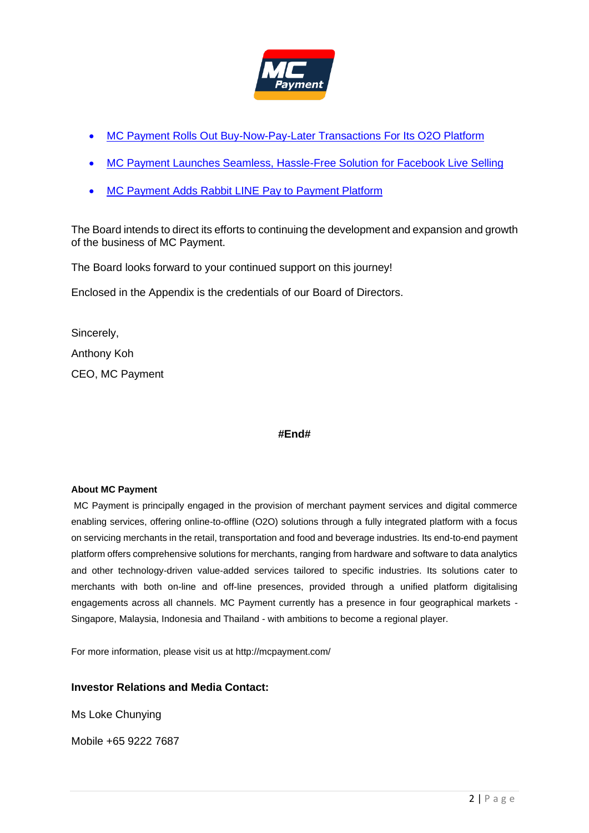

- [MC Payment Rolls Out Buy-Now-Pay-Later Transactions](https://links.sgx.com/FileOpen/MCP-BNPL.ashx?App=Announcement&FileID=660316) For Its O2O Platform
- [MC Payment Launches Seamless, Hassle-Free Solution for](https://links.sgx.com/FileOpen/MCP-FBLive%206%20April.ashx?App=Announcement&FileID=655907) Facebook Live Selling
- [MC Payment Adds Rabbit LINE](https://links.sgx.com/FileOpen/MCP-RabbitLine-Final.ashx?App=Announcement&FileID=666728) Pay to Payment Platform

The Board intends to direct its efforts to continuing the development and expansion and growth of the business of MC Payment.

The Board looks forward to your continued support on this journey!

Enclosed in the Appendix is the credentials of our Board of Directors.

Sincerely, Anthony Koh CEO, MC Payment

#### **#End#**

#### **About MC Payment**

MC Payment is principally engaged in the provision of merchant payment services and digital commerce enabling services, offering online-to-offline (O2O) solutions through a fully integrated platform with a focus on servicing merchants in the retail, transportation and food and beverage industries. Its end-to-end payment platform offers comprehensive solutions for merchants, ranging from hardware and software to data analytics and other technology-driven value-added services tailored to specific industries. Its solutions cater to merchants with both on-line and off-line presences, provided through a unified platform digitalising engagements across all channels. MC Payment currently has a presence in four geographical markets - Singapore, Malaysia, Indonesia and Thailand - with ambitions to become a regional player.

For more information, please visit us at http://mcpayment.com/

#### **Investor Relations and Media Contact:**

Ms Loke Chunying

Mobile +65 9222 7687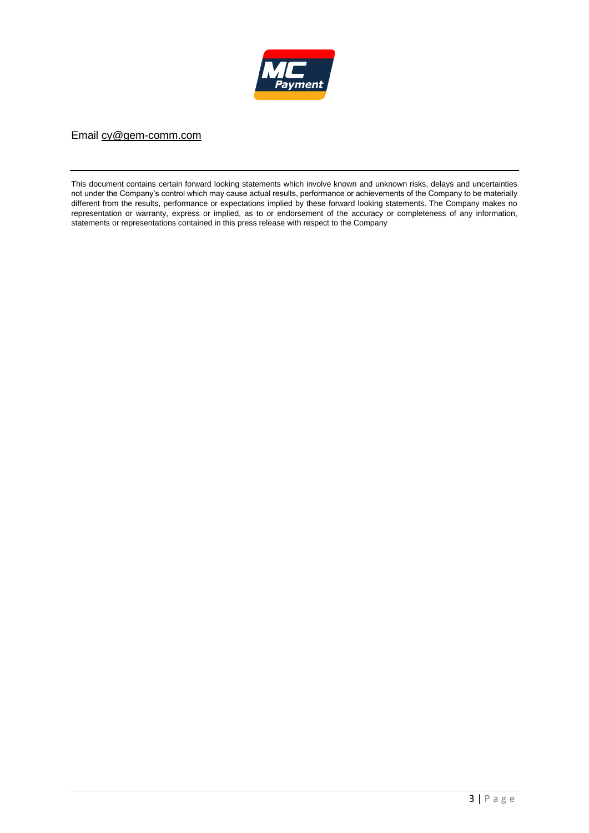

Email [cy@gem-comm.com](about:blank)

This document contains certain forward looking statements which involve known and unknown risks, delays and uncertainties not under the Company's control which may cause actual results, performance or achievements of the Company to be materially different from the results, performance or expectations implied by these forward looking statements. The Company makes no representation or warranty, express or implied, as to or endorsement of the accuracy or completeness of any information, statements or representations contained in this press release with respect to the Company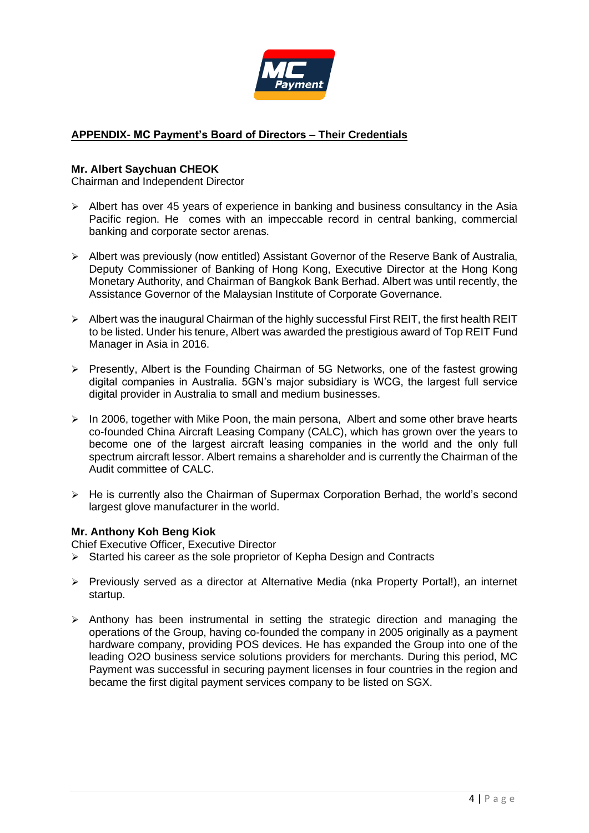

# **APPENDIX- MC Payment's Board of Directors – Their Credentials**

#### **Mr. Albert Saychuan CHEOK**

Chairman and Independent Director

- ➢ Albert has over 45 years of experience in banking and business consultancy in the Asia Pacific region. He comes with an impeccable record in central banking, commercial banking and corporate sector arenas.
- ➢ Albert was previously (now entitled) Assistant Governor of the Reserve Bank of Australia, Deputy Commissioner of Banking of Hong Kong, Executive Director at the Hong Kong Monetary Authority, and Chairman of Bangkok Bank Berhad. Albert was until recently, the Assistance Governor of the Malaysian Institute of Corporate Governance.
- ➢ Albert was the inaugural Chairman of the highly successful First REIT, the first health REIT to be listed. Under his tenure, Albert was awarded the prestigious award of Top REIT Fund Manager in Asia in 2016.
- ➢ Presently, Albert is the Founding Chairman of 5G Networks, one of the fastest growing digital companies in Australia. 5GN's major subsidiary is WCG, the largest full service digital provider in Australia to small and medium businesses.
- $\triangleright$  In 2006, together with Mike Poon, the main persona, Albert and some other brave hearts co-founded China Aircraft Leasing Company (CALC), which has grown over the years to become one of the largest aircraft leasing companies in the world and the only full spectrum aircraft lessor. Albert remains a shareholder and is currently the Chairman of the Audit committee of CALC.
- $\triangleright$  He is currently also the Chairman of Supermax Corporation Berhad, the world's second largest glove manufacturer in the world.

### **Mr. Anthony Koh Beng Kiok**

Chief Executive Officer, Executive Director

- ➢ Started his career as the sole proprietor of Kepha Design and Contracts
- ➢ Previously served as a director at Alternative Media (nka Property Portal!), an internet startup.
- $\triangleright$  Anthony has been instrumental in setting the strategic direction and managing the operations of the Group, having co-founded the company in 2005 originally as a payment hardware company, providing POS devices. He has expanded the Group into one of the leading O2O business service solutions providers for merchants. During this period, MC Payment was successful in securing payment licenses in four countries in the region and became the first digital payment services company to be listed on SGX.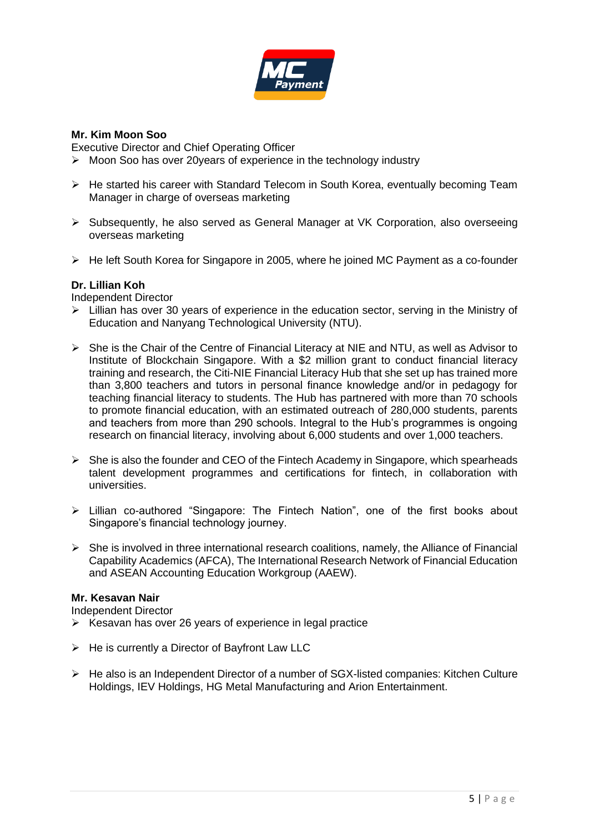

### **Mr. Kim Moon Soo**

Executive Director and Chief Operating Officer

- ➢ Moon Soo has over 20years of experience in the technology industry
- ➢ He started his career with Standard Telecom in South Korea, eventually becoming Team Manager in charge of overseas marketing
- ➢ Subsequently, he also served as General Manager at VK Corporation, also overseeing overseas marketing
- ➢ He left South Korea for Singapore in 2005, where he joined MC Payment as a co-founder

### **Dr. Lillian Koh**

Independent Director

- ➢ Lillian has over 30 years of experience in the education sector, serving in the Ministry of Education and Nanyang Technological University (NTU).
- ➢ She is the Chair of the Centre of Financial Literacy at NIE and NTU, as well as Advisor to Institute of Blockchain Singapore. With a \$2 million grant to conduct financial literacy training and research, the Citi-NIE Financial Literacy Hub that she set up has trained more than 3,800 teachers and tutors in personal finance knowledge and/or in pedagogy for teaching financial literacy to students. The Hub has partnered with more than 70 schools to promote financial education, with an estimated outreach of 280,000 students, parents and teachers from more than 290 schools. Integral to the Hub's programmes is ongoing research on financial literacy, involving about 6,000 students and over 1,000 teachers.
- $\triangleright$  She is also the founder and CEO of the Fintech Academy in Singapore, which spearheads talent development programmes and certifications for fintech, in collaboration with universities.
- ➢ Lillian co-authored "Singapore: The Fintech Nation", one of the first books about Singapore's financial technology journey.
- $\triangleright$  She is involved in three international research coalitions, namely, the Alliance of Financial Capability Academics (AFCA), The International Research Network of Financial Education and ASEAN Accounting Education Workgroup (AAEW).

### **Mr. Kesavan Nair**

Independent Director

- ➢ Kesavan has over 26 years of experience in legal practice
- $\triangleright$  He is currently a Director of Bayfront Law LLC
- ➢ He also is an Independent Director of a number of SGX-listed companies: Kitchen Culture Holdings, IEV Holdings, HG Metal Manufacturing and Arion Entertainment.